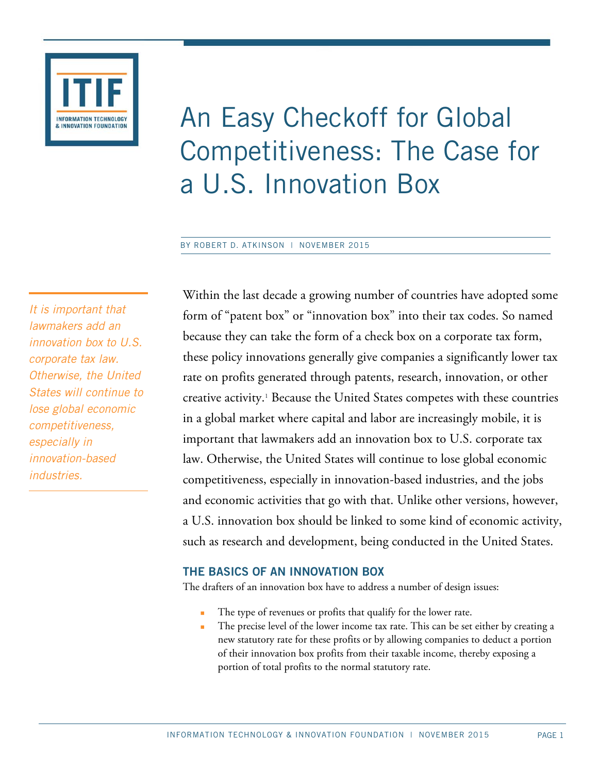

# An Easy Checkoff for Global Competitiveness: The Case for a U.S. Innovation Box

#### BY ROBERT D. ATKINSON | NOVEMBER 2015

*It is important that lawmakers add an innovation box to U.S. corporate tax law. Otherwise, the United States will continue to lose global economic competitiveness, especially in innovation-based industries.* 

Within the last decade a growing number of countries have adopted some form of "patent box" or "innovation box" into their tax codes. So named because they can take the form of a check box on a corporate tax form, these policy innovations generally give companies a significantly lower tax rate on profits generated through patents, research, innovation, or other creative activity.1 Because the United States competes with these countries in a global market where capital and labor are increasingly mobile, it is important that lawmakers add an innovation box to U.S. corporate tax law. Otherwise, the United States will continue to lose global economic competitiveness, especially in innovation-based industries, and the jobs and economic activities that go with that. Unlike other versions, however, a U.S. innovation box should be linked to some kind of economic activity, such as research and development, being conducted in the United States.

## **THE BASICS OF AN INNOVATION BOX**

The drafters of an innovation box have to address a number of design issues:

- The type of revenues or profits that qualify for the lower rate.
- The precise level of the lower income tax rate. This can be set either by creating a new statutory rate for these profits or by allowing companies to deduct a portion of their innovation box profits from their taxable income, thereby exposing a portion of total profits to the normal statutory rate.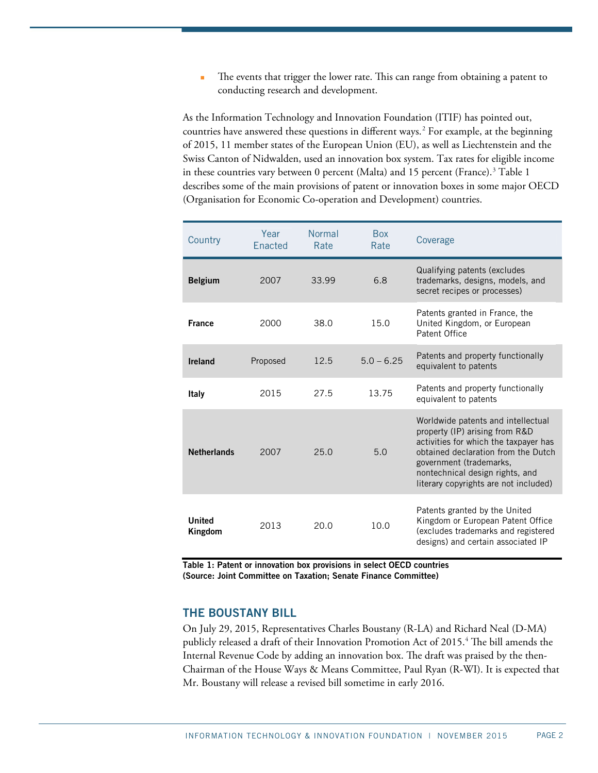The events that trigger the lower rate. This can range from obtaining a patent to conducting research and development.

As the Information Technology and Innovation Foundation (ITIF) has pointed out, countries have answered these questions in different ways.<sup>2</sup> For example, at the beginning of 2015, 11 member states of the European Union (EU), as well as Liechtenstein and the Swiss Canton of Nidwalden, used an innovation box system. Tax rates for eligible income in these countries vary between  $0$  percent (Malta) and  $15$  percent (France).<sup>3</sup> Table 1 describes some of the main provisions of patent or innovation boxes in some major OECD (Organisation for Economic Co-operation and Development) countries.

| Country                  | Year<br>Enacted | Normal<br>Rate | <b>Box</b><br>Rate | Coverage                                                                                                                                                                                                                                                    |
|--------------------------|-----------------|----------------|--------------------|-------------------------------------------------------------------------------------------------------------------------------------------------------------------------------------------------------------------------------------------------------------|
| <b>Belgium</b>           | 2007            | 33.99          | 6.8                | Qualifying patents (excludes<br>trademarks, designs, models, and<br>secret recipes or processes)                                                                                                                                                            |
| <b>France</b>            | 2000            | 38.0           | 15.0               | Patents granted in France, the<br>United Kingdom, or European<br>Patent Office                                                                                                                                                                              |
| Ireland                  | Proposed        | 12.5           | $5.0 - 6.25$       | Patents and property functionally<br>equivalent to patents                                                                                                                                                                                                  |
| Italy                    | 2015            | 27.5           | 13.75              | Patents and property functionally<br>equivalent to patents                                                                                                                                                                                                  |
| <b>Netherlands</b>       | 2007            | 25.0           | 5.0                | Worldwide patents and intellectual<br>property (IP) arising from R&D<br>activities for which the taxpayer has<br>obtained declaration from the Dutch<br>government (trademarks,<br>nontechnical design rights, and<br>literary copyrights are not included) |
| <b>United</b><br>Kingdom | 2013            | 20.0           | 10.0               | Patents granted by the United<br>Kingdom or European Patent Office<br>(excludes trademarks and registered<br>designs) and certain associated IP                                                                                                             |

**Table 1: Patent or innovation box provisions in select OECD countries (Source: Joint Committee on Taxation; Senate Finance Committee)**

#### **THE BOUSTANY BILL**

On July 29, 2015, Representatives Charles Boustany (R-LA) and Richard Neal (D-MA) publicly released a draft of their Innovation Promotion Act of 2015.<sup>4</sup> The bill amends the Internal Revenue Code by adding an innovation box. The draft was praised by the then-Chairman of the House Ways & Means Committee, Paul Ryan (R-WI). It is expected that Mr. Boustany will release a revised bill sometime in early 2016.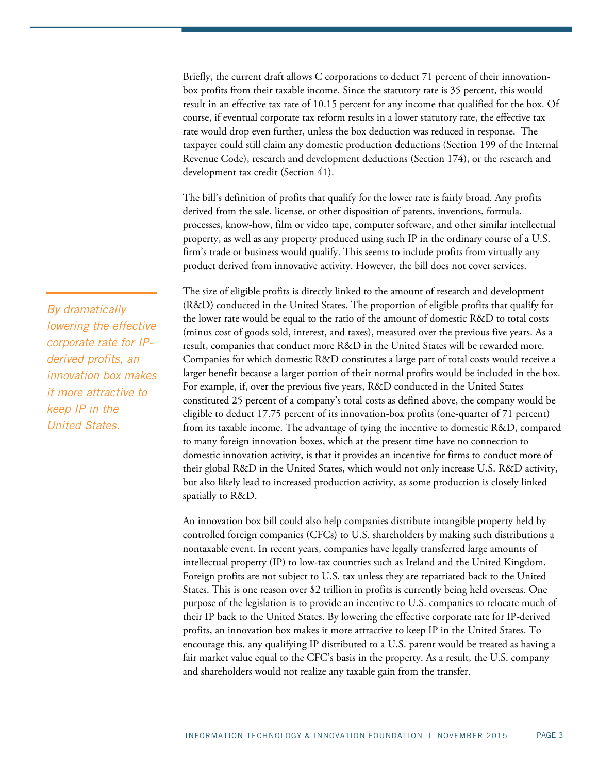Briefly, the current draft allows C corporations to deduct 71 percent of their innovationbox profits from their taxable income. Since the statutory rate is 35 percent, this would result in an effective tax rate of 10.15 percent for any income that qualified for the box. Of course, if eventual corporate tax reform results in a lower statutory rate, the effective tax rate would drop even further, unless the box deduction was reduced in response. The taxpayer could still claim any domestic production deductions (Section 199 of the Internal Revenue Code), research and development deductions (Section 174), or the research and development tax credit (Section 41).

The bill's definition of profits that qualify for the lower rate is fairly broad. Any profits derived from the sale, license, or other disposition of patents, inventions, formula, processes, know-how, film or video tape, computer software, and other similar intellectual property, as well as any property produced using such IP in the ordinary course of a U.S. firm's trade or business would qualify. This seems to include profits from virtually any product derived from innovative activity. However, the bill does not cover services.

The size of eligible profits is directly linked to the amount of research and development (R&D) conducted in the United States. The proportion of eligible profits that qualify for the lower rate would be equal to the ratio of the amount of domestic R&D to total costs (minus cost of goods sold, interest, and taxes), measured over the previous five years. As a result, companies that conduct more R&D in the United States will be rewarded more. Companies for which domestic R&D constitutes a large part of total costs would receive a larger benefit because a larger portion of their normal profits would be included in the box. For example, if, over the previous five years, R&D conducted in the United States constituted 25 percent of a company's total costs as defined above, the company would be eligible to deduct 17.75 percent of its innovation-box profits (one-quarter of 71 percent) from its taxable income. The advantage of tying the incentive to domestic R&D, compared to many foreign innovation boxes, which at the present time have no connection to domestic innovation activity, is that it provides an incentive for firms to conduct more of their global R&D in the United States, which would not only increase U.S. R&D activity, but also likely lead to increased production activity, as some production is closely linked spatially to R&D.

An innovation box bill could also help companies distribute intangible property held by controlled foreign companies (CFCs) to U.S. shareholders by making such distributions a nontaxable event. In recent years, companies have legally transferred large amounts of intellectual property (IP) to low-tax countries such as Ireland and the United Kingdom. Foreign profits are not subject to U.S. tax unless they are repatriated back to the United States. This is one reason over \$2 trillion in profits is currently being held overseas. One purpose of the legislation is to provide an incentive to U.S. companies to relocate much of their IP back to the United States. By lowering the effective corporate rate for IP-derived profits, an innovation box makes it more attractive to keep IP in the United States. To encourage this, any qualifying IP distributed to a U.S. parent would be treated as having a fair market value equal to the CFC's basis in the property. As a result, the U.S. company and shareholders would not realize any taxable gain from the transfer.

*By dramatically lowering the effective corporate rate for IPderived profits, an innovation box makes it more attractive to keep IP in the United States.*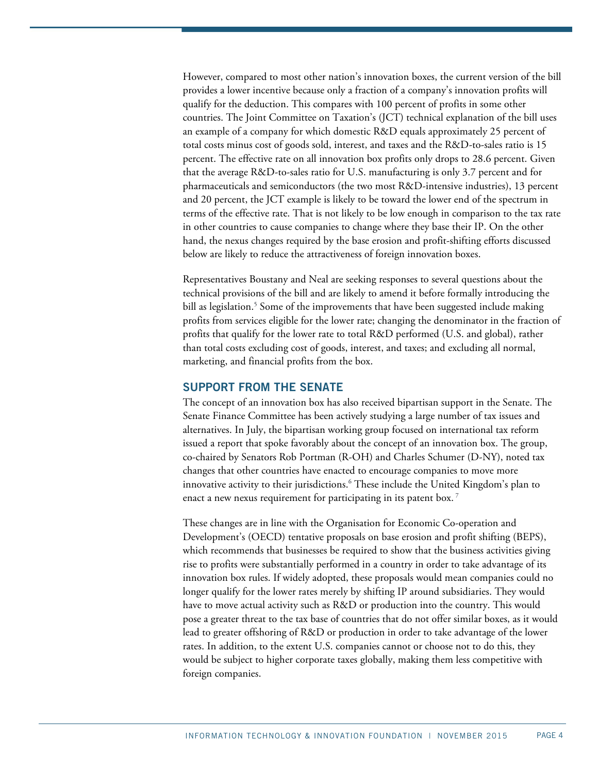However, compared to most other nation's innovation boxes, the current version of the bill provides a lower incentive because only a fraction of a company's innovation profits will qualify for the deduction. This compares with 100 percent of profits in some other countries. The Joint Committee on Taxation's (JCT) technical explanation of the bill uses an example of a company for which domestic R&D equals approximately 25 percent of total costs minus cost of goods sold, interest, and taxes and the R&D-to-sales ratio is 15 percent. The effective rate on all innovation box profits only drops to 28.6 percent. Given that the average R&D-to-sales ratio for U.S. manufacturing is only 3.7 percent and for pharmaceuticals and semiconductors (the two most R&D-intensive industries), 13 percent and 20 percent, the JCT example is likely to be toward the lower end of the spectrum in terms of the effective rate. That is not likely to be low enough in comparison to the tax rate in other countries to cause companies to change where they base their IP. On the other hand, the nexus changes required by the base erosion and profit-shifting efforts discussed below are likely to reduce the attractiveness of foreign innovation boxes.

Representatives Boustany and Neal are seeking responses to several questions about the technical provisions of the bill and are likely to amend it before formally introducing the bill as legislation.<sup>5</sup> Some of the improvements that have been suggested include making profits from services eligible for the lower rate; changing the denominator in the fraction of profits that qualify for the lower rate to total R&D performed (U.S. and global), rather than total costs excluding cost of goods, interest, and taxes; and excluding all normal, marketing, and financial profits from the box.

#### **SUPPORT FROM THE SENATE**

The concept of an innovation box has also received bipartisan support in the Senate. The Senate Finance Committee has been actively studying a large number of tax issues and alternatives. In July, the bipartisan working group focused on international tax reform issued a report that spoke favorably about the concept of an innovation box. The group, co-chaired by Senators Rob Portman (R-OH) and Charles Schumer (D-NY), noted tax changes that other countries have enacted to encourage companies to move more innovative activity to their jurisdictions.6 These include the United Kingdom's plan to enact a new nexus requirement for participating in its patent box.<sup>7</sup>

These changes are in line with the Organisation for Economic Co-operation and Development's (OECD) tentative proposals on base erosion and profit shifting (BEPS), which recommends that businesses be required to show that the business activities giving rise to profits were substantially performed in a country in order to take advantage of its innovation box rules. If widely adopted, these proposals would mean companies could no longer qualify for the lower rates merely by shifting IP around subsidiaries. They would have to move actual activity such as R&D or production into the country. This would pose a greater threat to the tax base of countries that do not offer similar boxes, as it would lead to greater offshoring of R&D or production in order to take advantage of the lower rates. In addition, to the extent U.S. companies cannot or choose not to do this, they would be subject to higher corporate taxes globally, making them less competitive with foreign companies.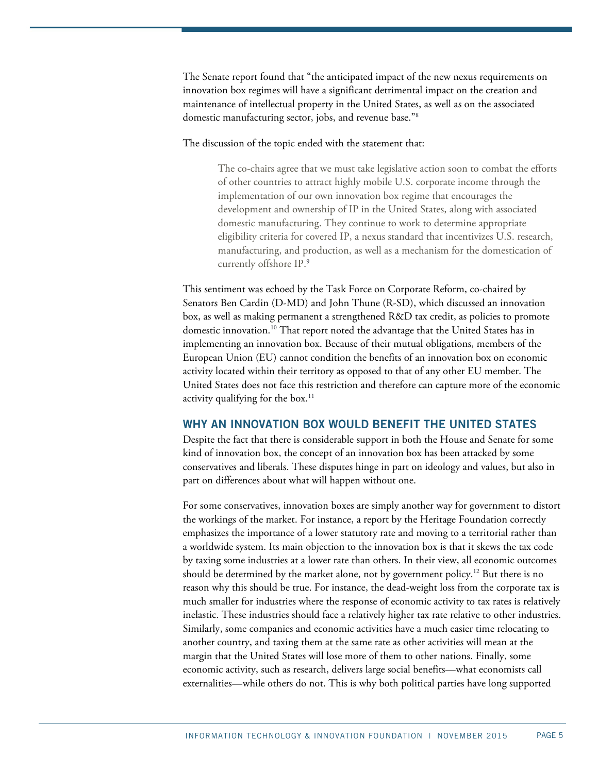The Senate report found that "the anticipated impact of the new nexus requirements on innovation box regimes will have a significant detrimental impact on the creation and maintenance of intellectual property in the United States, as well as on the associated domestic manufacturing sector, jobs, and revenue base."8

The discussion of the topic ended with the statement that:

The co-chairs agree that we must take legislative action soon to combat the efforts of other countries to attract highly mobile U.S. corporate income through the implementation of our own innovation box regime that encourages the development and ownership of IP in the United States, along with associated domestic manufacturing. They continue to work to determine appropriate eligibility criteria for covered IP, a nexus standard that incentivizes U.S. research, manufacturing, and production, as well as a mechanism for the domestication of currently offshore IP.9

This sentiment was echoed by the Task Force on Corporate Reform, co-chaired by Senators Ben Cardin (D-MD) and John Thune (R-SD), which discussed an innovation box, as well as making permanent a strengthened R&D tax credit, as policies to promote domestic innovation.10 That report noted the advantage that the United States has in implementing an innovation box. Because of their mutual obligations, members of the European Union (EU) cannot condition the benefits of an innovation box on economic activity located within their territory as opposed to that of any other EU member. The United States does not face this restriction and therefore can capture more of the economic activity qualifying for the box.<sup>11</sup>

#### **WHY AN INNOVATION BOX WOULD BENEFIT THE UNITED STATES**

Despite the fact that there is considerable support in both the House and Senate for some kind of innovation box, the concept of an innovation box has been attacked by some conservatives and liberals. These disputes hinge in part on ideology and values, but also in part on differences about what will happen without one.

For some conservatives, innovation boxes are simply another way for government to distort the workings of the market. For instance, a report by the Heritage Foundation correctly emphasizes the importance of a lower statutory rate and moving to a territorial rather than a worldwide system. Its main objection to the innovation box is that it skews the tax code by taxing some industries at a lower rate than others. In their view, all economic outcomes should be determined by the market alone, not by government policy.12 But there is no reason why this should be true. For instance, the dead-weight loss from the corporate tax is much smaller for industries where the response of economic activity to tax rates is relatively inelastic. These industries should face a relatively higher tax rate relative to other industries. Similarly, some companies and economic activities have a much easier time relocating to another country, and taxing them at the same rate as other activities will mean at the margin that the United States will lose more of them to other nations. Finally, some economic activity, such as research, delivers large social benefits—what economists call externalities—while others do not. This is why both political parties have long supported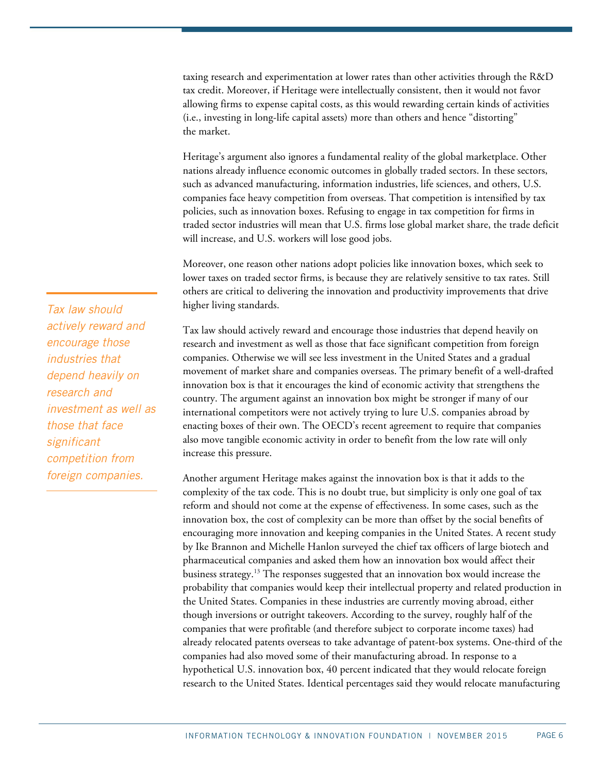taxing research and experimentation at lower rates than other activities through the R&D tax credit. Moreover, if Heritage were intellectually consistent, then it would not favor allowing firms to expense capital costs, as this would rewarding certain kinds of activities (i.e., investing in long-life capital assets) more than others and hence "distorting" the market.

Heritage's argument also ignores a fundamental reality of the global marketplace. Other nations already influence economic outcomes in globally traded sectors. In these sectors, such as advanced manufacturing, information industries, life sciences, and others, U.S. companies face heavy competition from overseas. That competition is intensified by tax policies, such as innovation boxes. Refusing to engage in tax competition for firms in traded sector industries will mean that U.S. firms lose global market share, the trade deficit will increase, and U.S. workers will lose good jobs.

Moreover, one reason other nations adopt policies like innovation boxes, which seek to lower taxes on traded sector firms, is because they are relatively sensitive to tax rates. Still others are critical to delivering the innovation and productivity improvements that drive higher living standards.

Tax law should actively reward and encourage those industries that depend heavily on research and investment as well as those that face significant competition from foreign companies. Otherwise we will see less investment in the United States and a gradual movement of market share and companies overseas. The primary benefit of a well-drafted innovation box is that it encourages the kind of economic activity that strengthens the country. The argument against an innovation box might be stronger if many of our international competitors were not actively trying to lure U.S. companies abroad by enacting boxes of their own. The OECD's recent agreement to require that companies also move tangible economic activity in order to benefit from the low rate will only increase this pressure.

Another argument Heritage makes against the innovation box is that it adds to the complexity of the tax code. This is no doubt true, but simplicity is only one goal of tax reform and should not come at the expense of effectiveness. In some cases, such as the innovation box, the cost of complexity can be more than offset by the social benefits of encouraging more innovation and keeping companies in the United States. A recent study by Ike Brannon and Michelle Hanlon surveyed the chief tax officers of large biotech and pharmaceutical companies and asked them how an innovation box would affect their business strategy.13 The responses suggested that an innovation box would increase the probability that companies would keep their intellectual property and related production in the United States. Companies in these industries are currently moving abroad, either though inversions or outright takeovers. According to the survey, roughly half of the companies that were profitable (and therefore subject to corporate income taxes) had already relocated patents overseas to take advantage of patent-box systems. One-third of the companies had also moved some of their manufacturing abroad. In response to a hypothetical U.S. innovation box, 40 percent indicated that they would relocate foreign research to the United States. Identical percentages said they would relocate manufacturing

*Tax law should actively reward and encourage those industries that depend heavily on research and investment as well as those that face significant competition from foreign companies.*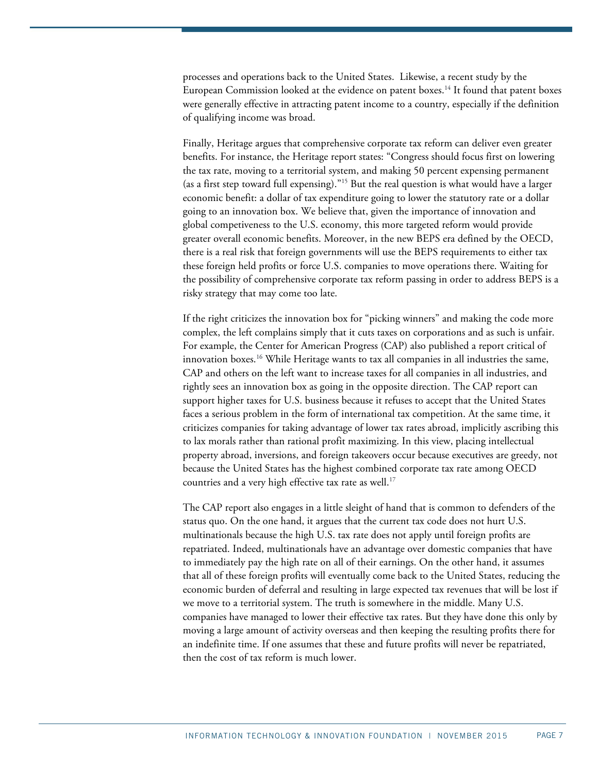processes and operations back to the United States. Likewise, a recent study by the European Commission looked at the evidence on patent boxes.<sup>14</sup> It found that patent boxes were generally effective in attracting patent income to a country, especially if the definition of qualifying income was broad.

Finally, Heritage argues that comprehensive corporate tax reform can deliver even greater benefits. For instance, the Heritage report states: "Congress should focus first on lowering the tax rate, moving to a territorial system, and making 50 percent expensing permanent (as a first step toward full expensing)."15 But the real question is what would have a larger economic benefit: a dollar of tax expenditure going to lower the statutory rate or a dollar going to an innovation box. We believe that, given the importance of innovation and global competiveness to the U.S. economy, this more targeted reform would provide greater overall economic benefits. Moreover, in the new BEPS era defined by the OECD, there is a real risk that foreign governments will use the BEPS requirements to either tax these foreign held profits or force U.S. companies to move operations there. Waiting for the possibility of comprehensive corporate tax reform passing in order to address BEPS is a risky strategy that may come too late.

If the right criticizes the innovation box for "picking winners" and making the code more complex, the left complains simply that it cuts taxes on corporations and as such is unfair. For example, the Center for American Progress (CAP) also published a report critical of innovation boxes.<sup>16</sup> While Heritage wants to tax all companies in all industries the same, CAP and others on the left want to increase taxes for all companies in all industries, and rightly sees an innovation box as going in the opposite direction. The CAP report can support higher taxes for U.S. business because it refuses to accept that the United States faces a serious problem in the form of international tax competition. At the same time, it criticizes companies for taking advantage of lower tax rates abroad, implicitly ascribing this to lax morals rather than rational profit maximizing. In this view, placing intellectual property abroad, inversions, and foreign takeovers occur because executives are greedy, not because the United States has the highest combined corporate tax rate among OECD countries and a very high effective tax rate as well.<sup>17</sup>

The CAP report also engages in a little sleight of hand that is common to defenders of the status quo. On the one hand, it argues that the current tax code does not hurt U.S. multinationals because the high U.S. tax rate does not apply until foreign profits are repatriated. Indeed, multinationals have an advantage over domestic companies that have to immediately pay the high rate on all of their earnings. On the other hand, it assumes that all of these foreign profits will eventually come back to the United States, reducing the economic burden of deferral and resulting in large expected tax revenues that will be lost if we move to a territorial system. The truth is somewhere in the middle. Many U.S. companies have managed to lower their effective tax rates. But they have done this only by moving a large amount of activity overseas and then keeping the resulting profits there for an indefinite time. If one assumes that these and future profits will never be repatriated, then the cost of tax reform is much lower.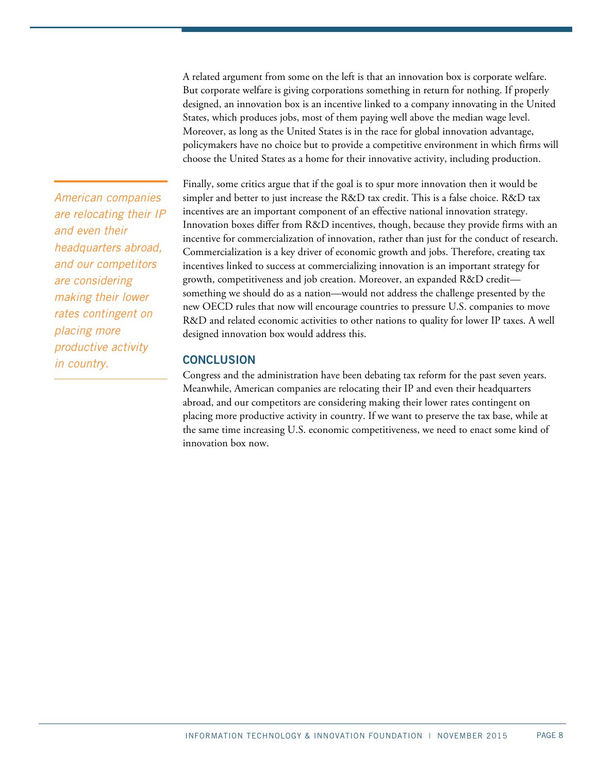A related argument from some on the left is that an innovation box is corporate welfare. But corporate welfare is giving corporations something in return for nothing. If properly designed, an innovation box is an incentive linked to a company innovating in the United States, which produces jobs, most of them paying well above the median wage level. Moreover, as long as the United States is in the race for global innovation advantage, policymakers have no choice but to provide a competitive environment in which firms will choose the United States as a home for their innovative activity, including production.

*American companies are relocating their IP and even their headquarters abroad, and our competitors are considering making their lower rates contingent on placing more productive activity in country.* 

Finally, some critics argue that if the goal is to spur more innovation then it would be simpler and better to just increase the R&D tax credit. This is a false choice. R&D tax incentives are an important component of an effective national innovation strategy. Innovation boxes differ from R&D incentives, though, because they provide firms with an incentive for commercialization of innovation, rather than just for the conduct of research. Commercialization is a key driver of economic growth and jobs. Therefore, creating tax incentives linked to success at commercializing innovation is an important strategy for growth, competitiveness and job creation. Moreover, an expanded R&D credit something we should do as a nation—would not address the challenge presented by the new OECD rules that now will encourage countries to pressure U.S. companies to move R&D and related economic activities to other nations to quality for lower IP taxes. A well designed innovation box would address this.

## **CONCLUSION**

Congress and the administration have been debating tax reform for the past seven years. Meanwhile, American companies are relocating their IP and even their headquarters abroad, and our competitors are considering making their lower rates contingent on placing more productive activity in country. If we want to preserve the tax base, while at the same time increasing U.S. economic competitiveness, we need to enact some kind of innovation box now.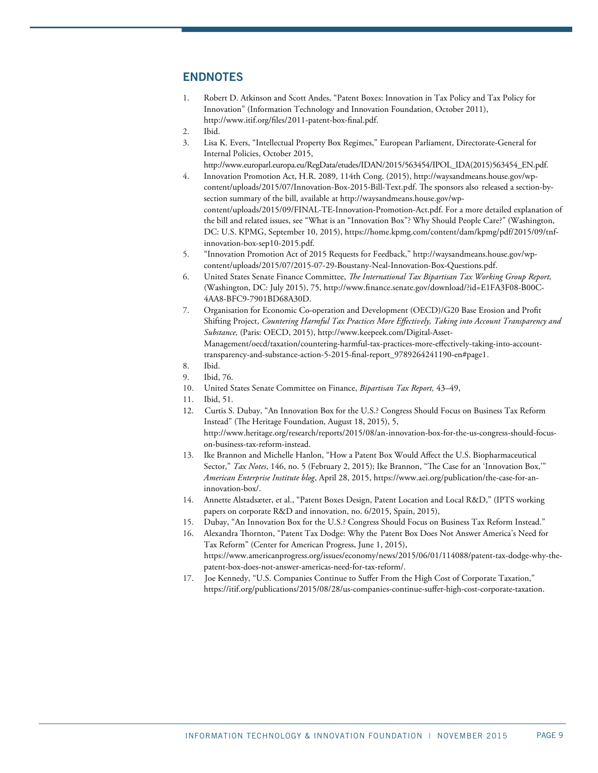### **ENDNOTES**

- 1. Robert D. Atkinson and Scott Andes, "Patent Boxes: Innovation in Tax Policy and Tax Policy for Innovation" (Information Technology and Innovation Foundation, October 2011), http://www.itif.org/files/2011-patent-box-final.pdf.
- 2. Ibid.
- 3. Lisa K. Evers, "Intellectual Property Box Regimes," European Parliament, Directorate-General for Internal Policies, October 2015,
	- http://www.europarl.europa.eu/RegData/etudes/IDAN/2015/563454/IPOL\_IDA(2015)563454\_EN.pdf.
- 4. Innovation Promotion Act, H.R. 2089, 114th Cong. (2015), http://waysandmeans.house.gov/wpcontent/uploads/2015/07/Innovation-Box-2015-Bill-Text.pdf. The sponsors also released a section-bysection summary of the bill, available at http://waysandmeans.house.gov/wpcontent/uploads/2015/09/FINAL-TE-Innovation-Promotion-Act.pdf. For a more detailed explanation of the bill and related issues, see "What is an "Innovation Box"? Why Should People Care?" (Washington, DC: U.S. KPMG, September 10, 2015), https://home.kpmg.com/content/dam/kpmg/pdf/2015/09/tnfinnovation-box-sep10-2015.pdf.
- 5. "Innovation Promotion Act of 2015 Requests for Feedback," http://waysandmeans.house.gov/wpcontent/uploads/2015/07/2015-07-29-Boustany-Neal-Innovation-Box-Questions.pdf.
- 6. United States Senate Finance Committee, *e International Tax Bipartisan Tax Working Group Report,* (Washington, DC: July 2015), 75, http://www.nance.senate.gov/download/?id=E1FA3F08-B00C-4AA8-BFC9-7901BD68A30D.
- 7. Organisation for Economic Co-operation and Development (OECD)/G20 Base Erosion and Prot Shifting Project, *Countering Harmful Tax Practices More Eectively, Taking into Account Transparency and Substance,* (Paris: OECD, 2015), http://www.keepeek.com/Digital-Asset-Management/oecd/taxation/countering-harmful-tax-practices-more-effectively-taking-into-accounttransparency-and-substance-action-5-2015-nal-report\_9789264241190-en#page1*.*
- 8. Ibid.
- 9. Ibid, 76.
- 10. United States Senate Committee on Finance, *Bipartisan Tax Report,* 43–49,
- 11. Ibid, 51.
- 12. Curtis S. Dubay, "An Innovation Box for the U.S.? Congress Should Focus on Business Tax Reform Instead" (The Heritage Foundation, August 18, 2015), 5, http://www.heritage.org/research/reports/2015/08/an-innovation-box-for-the-us-congress-should-focuson-business-tax-reform-instead.
- 13. Ike Brannon and Michelle Hanlon, "How a Patent Box Would Affect the U.S. Biopharmaceutical Sector," *Tax Notes*, 146, no. 5 (February 2, 2015); Ike Brannon, "The Case for an 'Innovation Box," *American Enterprise Institute blog*, April 28, 2015, https://www.aei.org/publication/the-case-for-aninnovation-box/.
- 14. Annette Alstadsæter, et al., "Patent Boxes Design, Patent Location and Local R&D," (IPTS working papers on corporate R&D and innovation, no. 6/2015, Spain, 2015),
- 15. Dubay, "An Innovation Box for the U.S.? Congress Should Focus on Business Tax Reform Instead."
- 16. Alexandra Thornton, "Patent Tax Dodge: Why the Patent Box Does Not Answer America's Need for Tax Reform" (Center for American Progress, June 1, 2015), https://www.americanprogress.org/issues/economy/news/2015/06/01/114088/patent-tax-dodge-why-thepatent-box-does-not-answer-americas-need-for-tax-reform/.
- 17. Joe Kennedy, "U.S. Companies Continue to Suffer From the High Cost of Corporate Taxation," https://itif.org/publications/2015/08/28/us-companies-continue-suffer-high-cost-corporate-taxation.